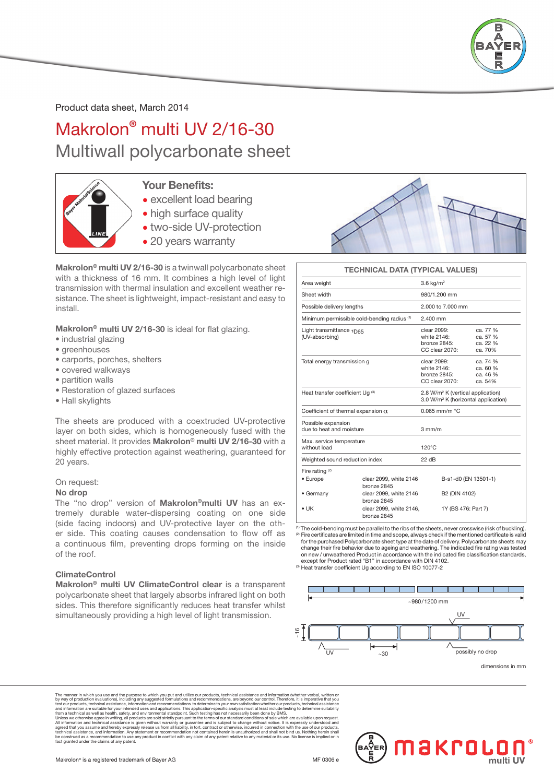

Product data sheet, March 2014

# Makrolon® multi UV 2/16-30 Multiwall polycarbonate sheet



### Your Benefits:

- excellent load bearing
- high surface quality
- two-side UV-protection
- 20 years warranty

Makrolon® multi UV 2/16-30 is a twinwall polycarbonate sheet with a thickness of 16 mm. It combines a high level of light transmission with thermal insulation and excellent weather resistance. The sheet is lightweight, impact-resistant and easy to install.

Makrolon<sup>®</sup> multi UV 2/16-30 is ideal for flat glazing.

- industrial glazing
- greenhouses
- carports, porches, shelters
- covered walkways
- partition walls
- Restoration of glazed surfaces
- Hall skylights

The sheets are produced with a coextruded UV-protective layer on both sides, which is homogeneously fused with the sheet material. It provides Makrolon® multi UV 2/16-30 with a highly effective protection against weathering, guaranteed for 20 years.

#### On request:

#### No drop

The "no drop" version of Makrolon®multi UV has an extremely durable water-dispersing coating on one side (side facing indoors) and UV-protective layer on the other side. This coating causes condensation to flow off as a continuous film, preventing drops forming on the inside of the roof.

#### ClimateControl

Makrolon® multi UV ClimateControl clear is a transparent polycarbonate sheet that largely absorbs infrared light on both sides. This therefore significantly reduces heat transfer whilst simultaneously providing a high level of light transmission.



#### TECHNICAL DATA (TYPICAL VALUES)

| Area weight                                               |                                                                  | $3.6$ kg/m <sup>2</sup>                                                                          |                                             |  |  |
|-----------------------------------------------------------|------------------------------------------------------------------|--------------------------------------------------------------------------------------------------|---------------------------------------------|--|--|
| Sheet width                                               |                                                                  | 980/1.200 mm                                                                                     |                                             |  |  |
| Possible delivery lengths                                 |                                                                  | 2.000 to 7.000 mm                                                                                |                                             |  |  |
|                                                           | Minimum permissible cold-bending radius (1)                      | $2.400$ mm                                                                                       |                                             |  |  |
| Light transmittance $\tau_{\text{D65}}$<br>(UV-absorbing) |                                                                  | clear 2099:<br>white 2146:<br>bronze 2845:<br>CC clear 2070:                                     | ca. 77 %<br>ca. 57 %<br>ca. 22 %<br>ca. 70% |  |  |
| Total energy transmission g                               |                                                                  | clear 2099:<br>white 2146:<br>bronze 2845:<br>CC clear 2070:                                     | ca. 74 %<br>ca. 60 %<br>ca. 46 %<br>ca. 54% |  |  |
| Heat transfer coefficient Ug (3)                          |                                                                  | 2.8 W/m <sup>2</sup> K (vertical application)<br>3.0 W/m <sup>2</sup> K (horizontal application) |                                             |  |  |
| Coefficient of thermal expansion $\alpha$                 |                                                                  | $0.065$ mm/m $°C$                                                                                |                                             |  |  |
| Possible expansion<br>due to heat and moisture            |                                                                  | $3 \text{ mm/m}$                                                                                 |                                             |  |  |
| Max. service temperature<br>without load                  |                                                                  | $120^{\circ}$ C                                                                                  |                                             |  |  |
| Weighted sound reduction index                            |                                                                  | 22 dB                                                                                            |                                             |  |  |
| Fire rating $(2)$<br>• Europe                             | clear 2099, white 2146<br>bronze 2845                            |                                                                                                  | B-s1-d0 (EN 13501-1)                        |  |  |
| • Germany<br>$\bullet$ UK                                 | clear 2099, white 2146<br>bronze 2845<br>clear 2099, white 2146, | B2 (DIN 4102)<br>1Y (BS 476: Part 7)                                                             |                                             |  |  |
|                                                           | bronze 2845                                                      |                                                                                                  |                                             |  |  |

 $^{(1)}$  The cold-bending must be parallel to the ribs of the sheets, never crosswise (risk of buckling).<br><sup>②</sup> Fire certificates are limited in time and scope, always check if the mentioned certificate is valid for the purchased Polycarbonate sheet type at the date of delivery. Polycarbonate sheets may change their fire behavior due to ageing and weathering. The indicated fire rating was tested on new / unweathered Product in accordance with the indicated fire classification standards, except for Product rated "B1" in accordance with DIN 4102.

(3) Heat transfer coefficient Ug according to EN ISO 10077-2



dimensions in mm

The manner in which you use and the purpose to which you put and utilize our products, technical assistance and information reverbals, withen or by way of production evaluations, including any suggested formulations and re agreed that you assume and hereby expressly release us from all liability, in tort, ontract or otherwise, incur<br>technical assistance, and information. Any statement or recommendation not contained herein is unauthorized an